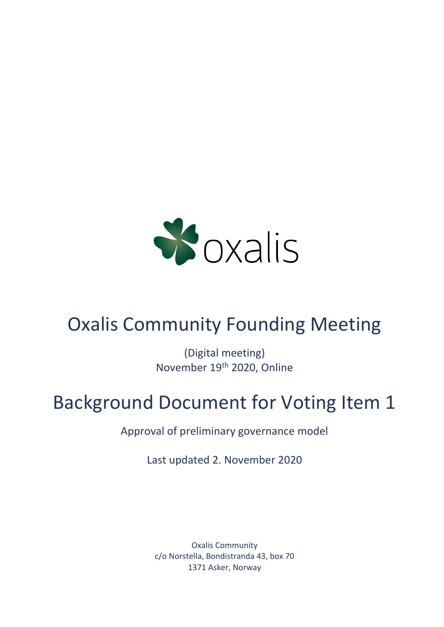

# Oxalis Community Founding Meeting

(Digital meeting) November 19th 2020, Online

# Background Document for Voting Item 1

Approval of preliminary governance model

Last updated 2. November 2020

Oxalis Community c/o Norstella, Bondistranda 43, box 70 1371 Asker, Norway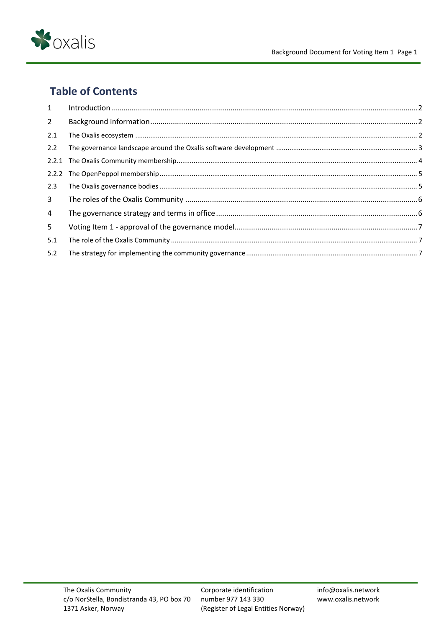

# **Table of Contents**

| 1              |  |
|----------------|--|
| $2^{\circ}$    |  |
| 2.1            |  |
| 2.2            |  |
|                |  |
|                |  |
| 2.3            |  |
| $\overline{3}$ |  |
| 4              |  |
| 5              |  |
| 5.1            |  |
| 5.2            |  |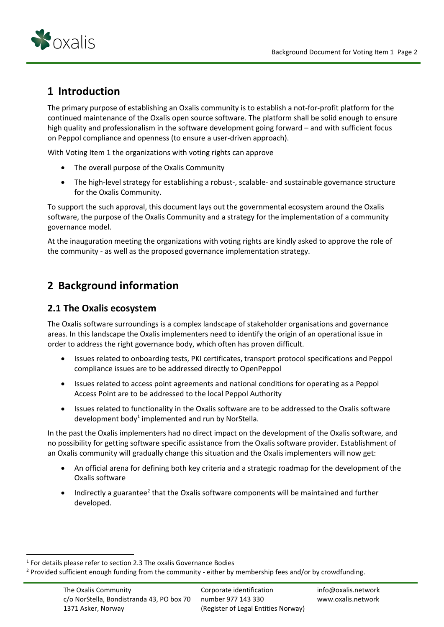

# <span id="page-2-0"></span>**1 Introduction**

The primary purpose of establishing an Oxalis community is to establish a not-for-profit platform for the continued maintenance of the Oxalis open source software. The platform shall be solid enough to ensure high quality and professionalism in the software development going forward – and with sufficient focus on Peppol compliance and openness (to ensure a user-driven approach).

With Voting Item 1 the organizations with voting rights can approve

- The overall purpose of the Oxalis Community
- The high-level strategy for establishing a robust-, scalable- and sustainable governance structure for the Oxalis Community.

To support the such approval, this document lays out the governmental ecosystem around the Oxalis software, the purpose of the Oxalis Community and a strategy for the implementation of a community governance model.

At the inauguration meeting the organizations with voting rights are kindly asked to approve the role of the community - as well as the proposed governance implementation strategy.

## <span id="page-2-1"></span>**2 Background information**

## <span id="page-2-2"></span>**2.1 The Oxalis ecosystem**

The Oxalis software surroundings is a complex landscape of stakeholder organisations and governance areas. In this landscape the Oxalis implementers need to identify the origin of an operational issue in order to address the right governance body, which often has proven difficult.

- Issues related to onboarding tests, PKI certificates, transport protocol specifications and Peppol compliance issues are to be addressed directly to OpenPeppol
- Issues related to access point agreements and national conditions for operating as a Peppol Access Point are to be addressed to the local Peppol Authority
- Issues related to functionality in the Oxalis software are to be addressed to the Oxalis software development body<sup>1</sup> implemented and run by NorStella.

In the past the Oxalis implementers had no direct impact on the development of the Oxalis software, and no possibility for getting software specific assistance from the Oxalis software provider. Establishment of an Oxalis community will gradually change this situation and the Oxalis implementers will now get:

- An official arena for defining both key criteria and a strategic roadmap for the development of the Oxalis software
- Indirectly a guarantee<sup>2</sup> that the Oxalis software components will be maintained and further developed.

 $<sup>1</sup>$  For details please refer to section 2.3 The oxalis Governance Bodies</sup>

<sup>&</sup>lt;sup>2</sup> Provided sufficient enough funding from the community - either by membership fees and/or by crowdfunding.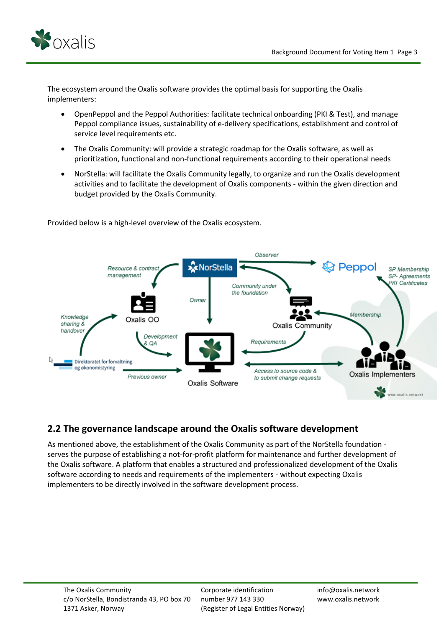

The ecosystem around the Oxalis software provides the optimal basis for supporting the Oxalis implementers:

- OpenPeppol and the Peppol Authorities: facilitate technical onboarding (PKI & Test), and manage Peppol compliance issues, sustainability of e-delivery specifications, establishment and control of service level requirements etc.
- The Oxalis Community: will provide a strategic roadmap for the Oxalis software, as well as prioritization, functional and non-functional requirements according to their operational needs
- NorStella: will facilitate the Oxalis Community legally, to organize and run the Oxalis development activities and to facilitate the development of Oxalis components - within the given direction and budget provided by the Oxalis Community.



Provided below is a high-level overview of the Oxalis ecosystem.

## <span id="page-3-0"></span>**2.2 The governance landscape around the Oxalis software development**

As mentioned above, the establishment of the Oxalis Community as part of the NorStella foundation serves the purpose of establishing a not-for-profit platform for maintenance and further development of the Oxalis software. A platform that enables a structured and professionalized development of the Oxalis software according to needs and requirements of the implementers - without expecting Oxalis implementers to be directly involved in the software development process.

Corporate identification number 977 143 330 (Register of Legal Entities Norway) info@oxalis.network www.oxalis.network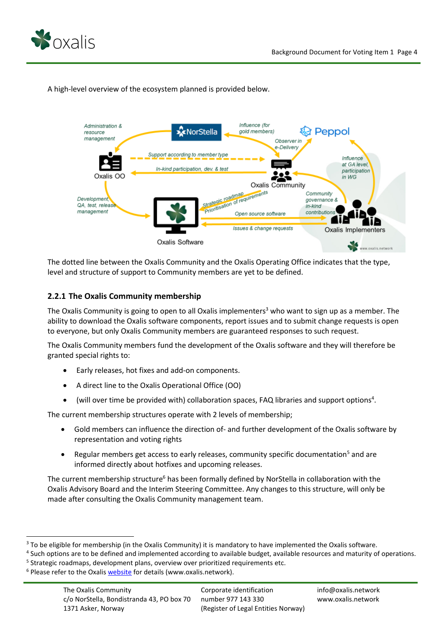



A high-level overview of the ecosystem planned is provided below.

The dotted line between the Oxalis Community and the Oxalis Operating Office indicates that the type, level and structure of support to Community members are yet to be defined.

#### <span id="page-4-0"></span>**2.2.1 The Oxalis Community membership**

The Oxalis Community is going to open to all Oxalis implementers<sup>3</sup> who want to sign up as a member. The ability to download the Oxalis software components, report issues and to submit change requests is open to everyone, but only Oxalis Community members are guaranteed responses to such request.

The Oxalis Community members fund the development of the Oxalis software and they will therefore be granted special rights to:

- Early releases, hot fixes and add-on components.
- A direct line to the Oxalis Operational Office (OO)
- $\bullet$  (will over time be provided with) collaboration spaces, FAQ libraries and support options<sup>4</sup>.

The current membership structures operate with 2 levels of membership;

- Gold members can influence the direction of- and further development of the Oxalis software by representation and voting rights
- Regular members get access to early releases, community specific documentation<sup>5</sup> and are informed directly about hotfixes and upcoming releases.

The current membership structure<sup>6</sup> has been formally defined by NorStella in collaboration with the Oxalis Advisory Board and the Interim Steering Committee. Any changes to this structure, will only be made after consulting the Oxalis Community management team.

<sup>&</sup>lt;sup>3</sup> To be eligible for membership (in the Oxalis Community) it is mandatory to have implemented the Oxalis software.

<sup>&</sup>lt;sup>4</sup> Such options are to be defined and implemented according to available budget, available resources and maturity of operations.

<sup>&</sup>lt;sup>5</sup> Strategic roadmaps, development plans, overview over prioritized requirements etc.

<sup>&</sup>lt;sup>6</sup> Please refer to the Oxalis [website](https://www.oxalis.network/join) for details (www.oxalis.network).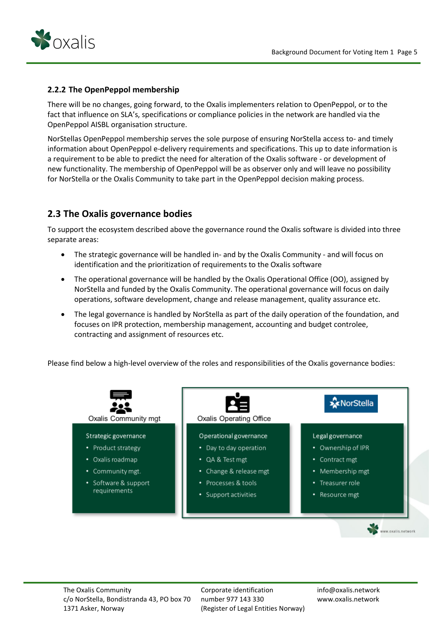

#### <span id="page-5-0"></span>**2.2.2 The OpenPeppol membership**

There will be no changes, going forward, to the Oxalis implementers relation to OpenPeppol, or to the fact that influence on SLA's, specifications or compliance policies in the network are handled via the OpenPeppol AISBL organisation structure.

NorStellas OpenPeppol membership serves the sole purpose of ensuring NorStella access to- and timely information about OpenPeppol e-delivery requirements and specifications. This up to date information is a requirement to be able to predict the need for alteration of the Oxalis software - or development of new functionality. The membership of OpenPeppol will be as observer only and will leave no possibility for NorStella or the Oxalis Community to take part in the OpenPeppol decision making process.

## <span id="page-5-1"></span>**2.3 The Oxalis governance bodies**

To support the ecosystem described above the governance round the Oxalis software is divided into three separate areas:

- The strategic governance will be handled in- and by the Oxalis Community and will focus on identification and the prioritization of requirements to the Oxalis software
- The operational governance will be handled by the Oxalis Operational Office (OO), assigned by NorStella and funded by the Oxalis Community. The operational governance will focus on daily operations, software development, change and release management, quality assurance etc.
- The legal governance is handled by NorStella as part of the daily operation of the foundation, and focuses on IPR protection, membership management, accounting and budget controlee, contracting and assignment of resources etc.

Please find below a high-level overview of the roles and responsibilities of the Oxalis governance bodies:



Corporate identification number 977 143 330 (Register of Legal Entities Norway) info@oxalis.network www.oxalis.network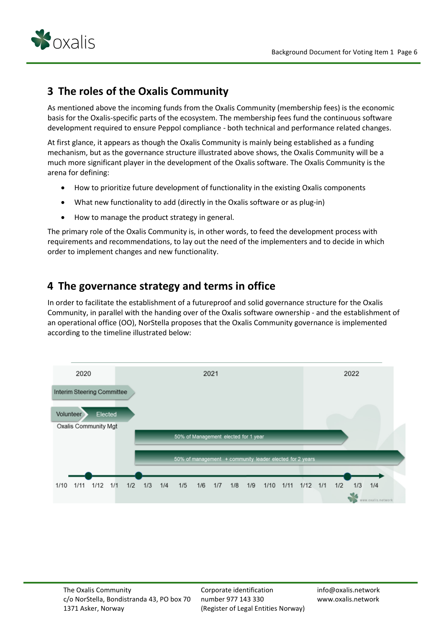

## <span id="page-6-0"></span>**3 The roles of the Oxalis Community**

As mentioned above the incoming funds from the Oxalis Community (membership fees) is the economic basis for the Oxalis-specific parts of the ecosystem. The membership fees fund the continuous software development required to ensure Peppol compliance - both technical and performance related changes.

At first glance, it appears as though the Oxalis Community is mainly being established as a funding mechanism, but as the governance structure illustrated above shows, the Oxalis Community will be a much more significant player in the development of the Oxalis software. The Oxalis Community is the arena for defining:

- How to prioritize future development of functionality in the existing Oxalis components
- What new functionality to add (directly in the Oxalis software or as plug-in)
- How to manage the product strategy in general.

The primary role of the Oxalis Community is, in other words, to feed the development process with requirements and recommendations, to lay out the need of the implementers and to decide in which order to implement changes and new functionality.

## <span id="page-6-1"></span>**4 The governance strategy and terms in office**

In order to facilitate the establishment of a futureproof and solid governance structure for the Oxalis Community, in parallel with the handing over of the Oxalis software ownership - and the establishment of an operational office (OO), NorStella proposes that the Oxalis Community governance is implemented according to the timeline illustrated below:



Corporate identification number 977 143 330 (Register of Legal Entities Norway) info@oxalis.network www.oxalis.network